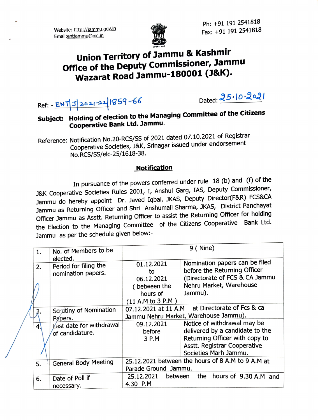Website: http://jammu.gov.in Email:entiammu@nic.In



Ph: +91 191 2541818 Fax: +91 191 2541818

## Union Territory of Jammu & Kashmir Office of the Deputy Commissioner, Jammu Wazarat Road Jammu-180001 (J&K).

Ref: <u>- ENT J2021-22</u>1859-66

Dated:  $25.10.2021$ 

## Subject: Holding of election to the Managing Committee of the Citizens Cooperative Bank Ltd. Jammu.

Reference: Notification No.20-RCS/SS of 2021 dated 07.10.2021 of Registrar Cooperative Societies, J&K, Srinagar issued under endorsement No.RCS/SS/elc-25/1618-38.

## **Notification**

In pursuance of the powers conferred under rule  $18$  (b) and (f) of the J&K Cooperative Societies Rules 2001, I, Anshul Garg, IAS, Deputy Commissioner, Jammu do hereby appoint Dr. Javed Iqbal, JKAS, Deputy Director(F&R) FCS&CA Jammu as Returning Officer and Shri Anshumali Sharma, JKAS, District Panchayat Officer Jammu as Asstt. Returning Officer to assist the Returning Officer for holding the Election to the Managing Committee of the Citizens Cooperative Bank Ltd. Jammu as per the schedule given below:

|  |                |                                             | $9$ (Nine)                                        |                                     |
|--|----------------|---------------------------------------------|---------------------------------------------------|-------------------------------------|
|  | 1.             | No. of Members to be                        |                                                   |                                     |
|  |                | elected.                                    |                                                   |                                     |
|  | 2.             | Period for filing the                       | 01.12.2021                                        | Nomination papers can be filed      |
|  |                | nomination papers.                          | to                                                | before the Returning Officer        |
|  |                |                                             | 06.12.2021                                        | (Directorate of FCS & CA Jammu      |
|  |                |                                             | (between the                                      | Nehru Market, Warehouse             |
|  |                |                                             | hours of                                          | Jammu).                             |
|  |                |                                             | $(11$ A.M to 3 P.M $)$                            |                                     |
|  | 3.             | Scrutiny of Nomination<br>Papers.           | 07.12.2021 at 11 A.M                              | at Directorate of Fcs & ca          |
|  |                |                                             | Jammu Nehru Market, Warehouse Jammu).             |                                     |
|  | $\overline{4}$ | Last date for withdrawal<br>of candidature. | 09.12.2021                                        | Notice of withdrawal may be         |
|  |                |                                             | before                                            | delivered by a candidate to the     |
|  |                |                                             | 3 P.M                                             | Returning Officer with copy to      |
|  |                |                                             |                                                   | <b>Asstt. Registrar Cooperative</b> |
|  |                |                                             |                                                   | Societies Marh Jammu.               |
|  | 5.             | <b>General Body Meeting</b>                 | 25.12.2021 between the hours of 8 A.M to 9 A.M at |                                     |
|  |                |                                             | Parade Ground Jammu.                              |                                     |
|  | 6.             | Date of Poll if                             | 25.12.2021<br>between                             | the hours of 9.30 A.M and           |
|  |                | necessary.                                  | 4.30 P.M                                          |                                     |
|  |                |                                             |                                                   |                                     |